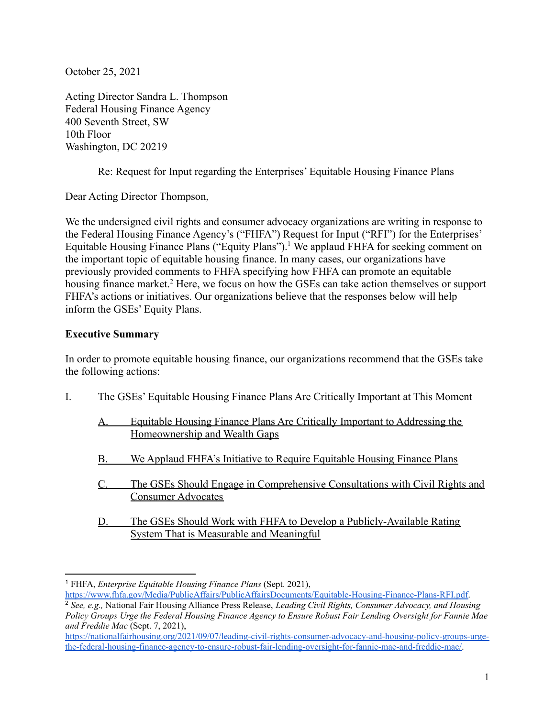October 25, 2021

Acting Director Sandra L. Thompson Federal Housing Finance Agency 400 Seventh Street, SW 10th Floor Washington, DC 20219

Re: Request for Input regarding the Enterprises' Equitable Housing Finance Plans

Dear Acting Director Thompson,

We the undersigned civil rights and consumer advocacy organizations are writing in response to the Federal Housing Finance Agency's ("FHFA") Request for Input ("RFI") for the Enterprises' Equitable Housing Finance Plans ("Equity Plans").<sup>1</sup> We applaud FHFA for seeking comment on the important topic of equitable housing finance. In many cases, our organizations have previously provided comments to FHFA specifying how FHFA can promote an equitable housing finance market.<sup>2</sup> Here, we focus on how the GSEs can take action themselves or support FHFA's actions or initiatives. Our organizations believe that the responses below will help inform the GSEs' Equity Plans.

### **Executive Summary**

In order to promote equitable housing finance, our organizations recommend that the GSEs take the following actions:

- I. The GSEs' Equitable Housing Finance Plans Are Critically Important at This Moment
	- A. Equitable Housing Finance Plans Are Critically Important to Addressing the Homeownership and Wealth Gaps
	- B. We Applaud FHFA's Initiative to Require Equitable Housing Finance Plans
	- C. The GSEs Should Engage in Comprehensive Consultations with Civil Rights and Consumer Advocates
	- D. The GSEs Should Work with FHFA to Develop a Publicly-Available Rating System That is Measurable and Meaningful

[https://www.fhfa.gov/Media/PublicAffairs/PublicAffairsDocuments/Equitable-Housing-Finance-Plans-RFI.pdf.](https://www.fhfa.gov/Media/PublicAffairs/PublicAffairsDocuments/Equitable-Housing-Finance-Plans-RFI.pdf)

<sup>1</sup> FHFA, *Enterprise Equitable Housing Finance Plans* (Sept. 2021),

<sup>2</sup> *See, e.g.,* National Fair Housing Alliance Press Release, *Leading Civil Rights, Consumer Advocacy, and Housing* Policy Groups Urge the Federal Housing Finance Agency to Ensure Robust Fair Lending Oversight for Fannie Mae *and Freddie Mac* (Sept. 7, 2021),

[https://nationalfairhousing.org/2021/09/07/leading-civil-rights-consumer-advocacy-and-housing-policy-groups-urge](https://nationalfairhousing.org/2021/09/07/leading-civil-rights-consumer-advocacy-and-housing-policy-groups-urge-the-federal-housing-finance-agency-to-ensure-robust-fair-lending-oversight-for-fannie-mae-and-freddie-mac/)[the-federal-housing-finance-agency-to-ensure-robust-fair-lending-oversight-for-fannie-mae-and-freddie-mac/.](https://nationalfairhousing.org/2021/09/07/leading-civil-rights-consumer-advocacy-and-housing-policy-groups-urge-the-federal-housing-finance-agency-to-ensure-robust-fair-lending-oversight-for-fannie-mae-and-freddie-mac/)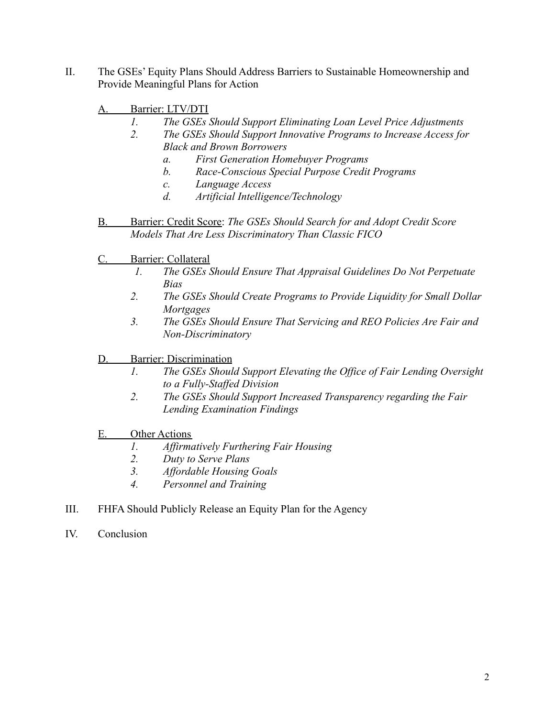- II. The GSEs' Equity Plans Should Address Barriers to Sustainable Homeownership and Provide Meaningful Plans for Action
	- A. Barrier: LTV/DTI
		- *1. The GSEs Should Support Eliminating Loan Level Price Adjustments*
		- *2. The GSEs Should Support Innovative Programs to Increase Access for Black and Brown Borrowers*
			- *a. First Generation Homebuyer Programs*
			- *b. Race-Conscious Special Purpose Credit Programs*
			- *c. Language Access*
			- *d. Artificial Intelligence/Technology*
	- B. Barrier: Credit Score: *The GSEs Should Search for and Adopt Credit Score Models That Are Less Discriminatory Than Classic FICO*
	- C. Barrier: Collateral
		- *1. The GSEs Should Ensure That Appraisal Guidelines Do Not Perpetuate Bias*
		- *2. The GSEs Should Create Programs to Provide Liquidity for Small Dollar Mortgages*
		- *3. The GSEs Should Ensure That Servicing and REO Policies Are Fair and Non-Discriminatory*
	- D. Barrier: Discrimination
		- *1. The GSEs Should Support Elevating the Office of Fair Lending Oversight to a Fully-Staffed Division*
		- *2. The GSEs Should Support Increased Transparency regarding the Fair Lending Examination Findings*
	- E. Other Actions
		- *1. Affirmatively Furthering Fair Housing*
		- *2. Duty to Serve Plans*
		- *3. Affordable Housing Goals*
		- *4. Personnel and Training*
- III. FHFA Should Publicly Release an Equity Plan for the Agency
- IV. Conclusion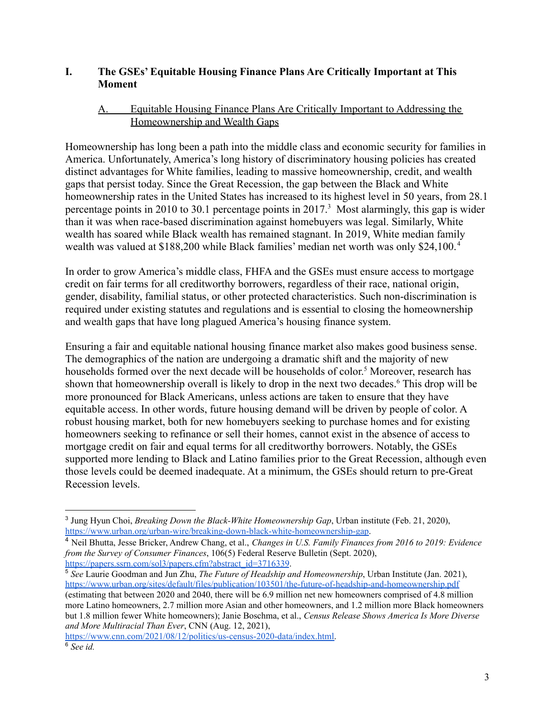#### **I. The GSEs' Equitable Housing Finance Plans Are Critically Important at This Moment**

#### A. Equitable Housing Finance Plans Are Critically Important to Addressing the Homeownership and Wealth Gaps

Homeownership has long been a path into the middle class and economic security for families in America. Unfortunately, America's long history of discriminatory housing policies has created distinct advantages for White families, leading to massive homeownership, credit, and wealth gaps that persist today. Since the Great Recession, the gap between the Black and White homeownership rates in the United States has increased to its highest level in 50 years, from 28.1 percentage points in 2010 to 30.1 percentage points in  $2017<sup>3</sup>$  Most alarmingly, this gap is wider than it was when race-based discrimination against homebuyers was legal. Similarly, White wealth has soared while Black wealth has remained stagnant. In 2019, White median family wealth was valued at \$188,200 while Black families' median net worth was only \$24,100. <sup>4</sup>

In order to grow America's middle class, FHFA and the GSEs must ensure access to mortgage credit on fair terms for all creditworthy borrowers, regardless of their race, national origin, gender, disability, familial status, or other protected characteristics. Such non-discrimination is required under existing statutes and regulations and is essential to closing the homeownership and wealth gaps that have long plagued America's housing finance system.

Ensuring a fair and equitable national housing finance market also makes good business sense. The demographics of the nation are undergoing a dramatic shift and the majority of new households formed over the next decade will be households of color. <sup>5</sup> Moreover, research has shown that homeownership overall is likely to drop in the next two decades.<sup>6</sup> This drop will be more pronounced for Black Americans, unless actions are taken to ensure that they have equitable access. In other words, future housing demand will be driven by people of color. A robust housing market, both for new homebuyers seeking to purchase homes and for existing homeowners seeking to refinance or sell their homes, cannot exist in the absence of access to mortgage credit on fair and equal terms for all creditworthy borrowers. Notably, the GSEs supported more lending to Black and Latino families prior to the Great Recession, although even those levels could be deemed inadequate. At a minimum, the GSEs should return to pre-Great Recession levels.

<sup>5</sup> *See* Laurie Goodman and Jun Zhu, *The Future of Headship and Homeownership*, Urban Institute (Jan. 2021), <https://www.urban.org/sites/default/files/publication/103501/the-future-of-headship-and-homeownership.pdf> (estimating that between 2020 and 2040, there will be 6.9 million net new homeowners comprised of 4.8 million more Latino homeowners, 2.7 million more Asian and other homeowners, and 1.2 million more Black homeowners but 1.8 million fewer White homeowners); Janie Boschma, et al., *Census Release Shows America Is More Diverse and More Multiracial Than Ever*, CNN (Aug. 12, 2021),

[https://www.cnn.com/2021/08/12/politics/us-census-2020-data/index.html.](https://www.cnn.com/2021/08/12/politics/us-census-2020-data/index.html)

<sup>3</sup> Jung Hyun Choi, *Breaking Down the Black-White Homeownership Gap*, Urban institute (Feb. 21, 2020), <https://www.urban.org/urban-wire/breaking-down-black-white-homeownership-gap>.

<sup>4</sup> Neil Bhutta, Jesse Bricker, Andrew Chang, et al., *Changes in U.S. Family Finances from 2016 to 2019: Evidence from the Survey of Consumer Finances*, 106(5) Federal Reserve Bulletin (Sept. 2020), [https://papers.ssrn.com/sol3/papers.cfm?abstract\\_id=3716339](https://papers.ssrn.com/sol3/papers.cfm?abstract_id=3716339).

<sup>6</sup> *See id.*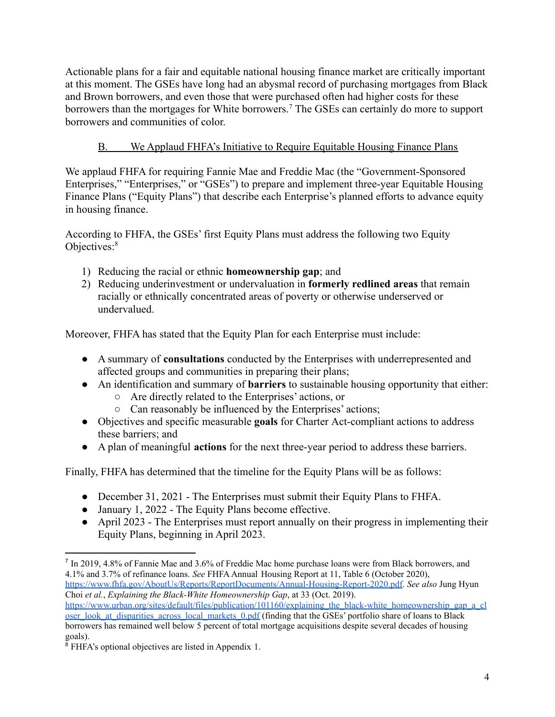Actionable plans for a fair and equitable national housing finance market are critically important at this moment. The GSEs have long had an abysmal record of purchasing mortgages from Black and Brown borrowers, and even those that were purchased often had higher costs for these borrowers than the mortgages for White borrowers.<sup>7</sup> The GSEs can certainly do more to support borrowers and communities of color.

# B. We Applaud FHFA's Initiative to Require Equitable Housing Finance Plans

We applaud FHFA for requiring Fannie Mae and Freddie Mac (the "Government-Sponsored Enterprises," "Enterprises," or "GSEs") to prepare and implement three-year Equitable Housing Finance Plans ("Equity Plans") that describe each Enterprise's planned efforts to advance equity in housing finance.

According to FHFA, the GSEs' first Equity Plans must address the following two Equity Objectives:<sup>8</sup>

- 1) Reducing the racial or ethnic **homeownership gap**; and
- 2) Reducing underinvestment or undervaluation in **formerly redlined areas** that remain racially or ethnically concentrated areas of poverty or otherwise underserved or undervalued.

Moreover, FHFA has stated that the Equity Plan for each Enterprise must include:

- A summary of **consultations** conducted by the Enterprises with underrepresented and affected groups and communities in preparing their plans;
- An identification and summary of **barriers** to sustainable housing opportunity that either:
	- Are directly related to the Enterprises' actions, or
	- Can reasonably be influenced by the Enterprises' actions;
- Objectives and specific measurable **goals** for Charter Act-compliant actions to address these barriers; and
- A plan of meaningful **actions** for the next three-year period to address these barriers.

Finally, FHFA has determined that the timeline for the Equity Plans will be as follows:

- December 31, 2021 The Enterprises must submit their Equity Plans to FHFA.
- January 1, 2022 The Equity Plans become effective.
- April 2023 The Enterprises must report annually on their progress in implementing their Equity Plans, beginning in April 2023.

<https://www.fhfa.gov/AboutUs/Reports/ReportDocuments/Annual-Housing-Report-2020.pdf>. *See also* Jung Hyun Choi *et al.*, *Explaining the Black-White Homeownership Gap*, at 33 (Oct. 2019).

<sup>7</sup> In 2019, 4.8% of Fannie Mae and 3.6% of Freddie Mac home purchase loans were from Black borrowers, and 4.1% and 3.7% of refinance loans. *See* FHFAAnnual Housing Report at 11, Table 6 (October 2020),

[https://www.urban.org/sites/default/files/publication/101160/explaining\\_the\\_black-white\\_homeownership\\_gap\\_a\\_cl](https://www.urban.org/sites/default/files/publication/101160/explaining_the_black-white_homeownership_gap_a_closer_look_at_disparities_across_local_markets_0.pdf) [oser\\_look\\_at\\_disparities\\_across\\_local\\_markets\\_0.pdf](https://www.urban.org/sites/default/files/publication/101160/explaining_the_black-white_homeownership_gap_a_closer_look_at_disparities_across_local_markets_0.pdf) (finding that the GSEs' portfolio share of loans to Black borrowers has remained well below 5 percent of total mortgage acquisitions despite several decades of housing goals).

 $8$  FHFA's optional objectives are listed in Appendix 1.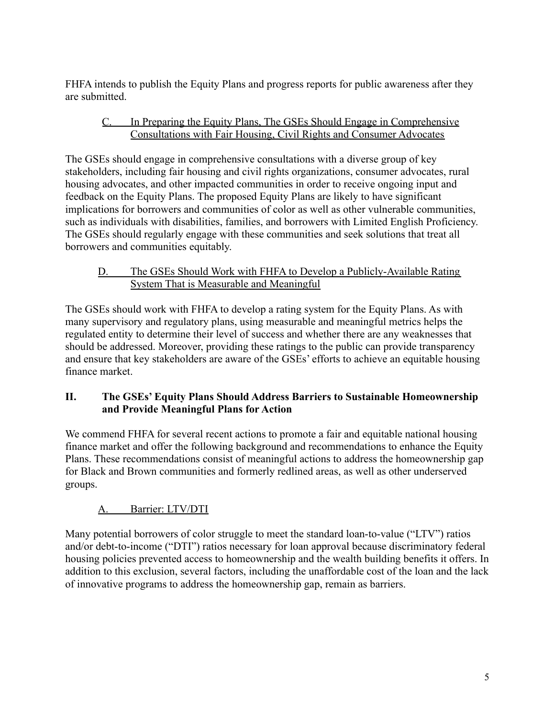FHFA intends to publish the Equity Plans and progress reports for public awareness after they are submitted.

## C. In Preparing the Equity Plans, The GSEs Should Engage in Comprehensive Consultations with Fair Housing, Civil Rights and Consumer Advocates

The GSEs should engage in comprehensive consultations with a diverse group of key stakeholders, including fair housing and civil rights organizations, consumer advocates, rural housing advocates, and other impacted communities in order to receive ongoing input and feedback on the Equity Plans. The proposed Equity Plans are likely to have significant implications for borrowers and communities of color as well as other vulnerable communities, such as individuals with disabilities, families, and borrowers with Limited English Proficiency. The GSEs should regularly engage with these communities and seek solutions that treat all borrowers and communities equitably.

## D. The GSEs Should Work with FHFA to Develop a Publicly-Available Rating System That is Measurable and Meaningful

The GSEs should work with FHFA to develop a rating system for the Equity Plans. As with many supervisory and regulatory plans, using measurable and meaningful metrics helps the regulated entity to determine their level of success and whether there are any weaknesses that should be addressed. Moreover, providing these ratings to the public can provide transparency and ensure that key stakeholders are aware of the GSEs' efforts to achieve an equitable housing finance market.

## **II. The GSEs' Equity Plans Should Address Barriers to Sustainable Homeownership and Provide Meaningful Plans for Action**

We commend FHFA for several recent actions to promote a fair and equitable national housing finance market and offer the following background and recommendations to enhance the Equity Plans. These recommendations consist of meaningful actions to address the homeownership gap for Black and Brown communities and formerly redlined areas, as well as other underserved groups.

# A. Barrier: LTV/DTI

Many potential borrowers of color struggle to meet the standard loan-to-value ("LTV") ratios and/or debt-to-income ("DTI") ratios necessary for loan approval because discriminatory federal housing policies prevented access to homeownership and the wealth building benefits it offers. In addition to this exclusion, several factors, including the unaffordable cost of the loan and the lack of innovative programs to address the homeownership gap, remain as barriers.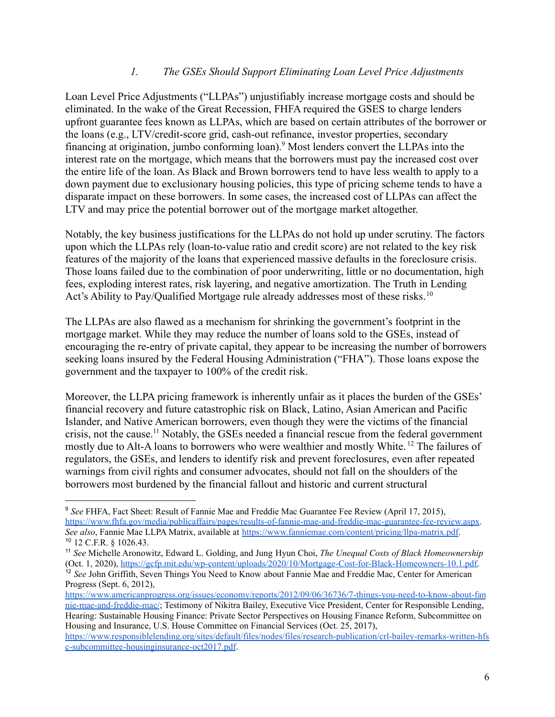#### *1. The GSEs Should Support Eliminating Loan Level Price Adjustments*

Loan Level Price Adjustments ("LLPAs") unjustifiably increase mortgage costs and should be eliminated. In the wake of the Great Recession, FHFA required the GSES to charge lenders upfront guarantee fees known as LLPAs, which are based on certain attributes of the borrower or the loans (e.g., LTV/credit-score grid, cash-out refinance, investor properties, secondary financing at origination, jumbo conforming loan).<sup>9</sup> Most lenders convert the LLPAs into the interest rate on the mortgage, which means that the borrowers must pay the increased cost over the entire life of the loan. As Black and Brown borrowers tend to have less wealth to apply to a down payment due to exclusionary housing policies, this type of pricing scheme tends to have a disparate impact on these borrowers. In some cases, the increased cost of LLPAs can affect the LTV and may price the potential borrower out of the mortgage market altogether.

Notably, the key business justifications for the LLPAs do not hold up under scrutiny. The factors upon which the LLPAs rely (loan-to-value ratio and credit score) are not related to the key risk features of the majority of the loans that experienced massive defaults in the foreclosure crisis. Those loans failed due to the combination of poor underwriting, little or no documentation, high fees, exploding interest rates, risk layering, and negative amortization. The Truth in Lending Act's Ability to Pay/Qualified Mortgage rule already addresses most of these risks. <sup>10</sup>

The LLPAs are also flawed as a mechanism for shrinking the government's footprint in the mortgage market. While they may reduce the number of loans sold to the GSEs, instead of encouraging the re-entry of private capital, they appear to be increasing the number of borrowers seeking loans insured by the Federal Housing Administration ("FHA"). Those loans expose the government and the taxpayer to 100% of the credit risk.

Moreover, the LLPA pricing framework is inherently unfair as it places the burden of the GSEs' financial recovery and future catastrophic risk on Black, Latino, Asian American and Pacific Islander, and Native American borrowers, even though they were the victims of the financial crisis, not the cause.<sup>11</sup> Notably, the GSEs needed a financial rescue from the federal government mostly due to Alt-A loans to borrowers who were wealthier and mostly White. <sup>12</sup> The failures of regulators, the GSEs, and lenders to identify risk and prevent foreclosures, even after repeated warnings from civil rights and consumer advocates, should not fall on the shoulders of the borrowers most burdened by the financial fallout and historic and current structural

<sup>10</sup> 12 C.F.R. § 1026.43. <sup>9</sup> *See* FHFA, Fact Sheet: Result of Fannie Mae and Freddie Mac Guarantee Fee Review (April 17, 2015), <https://www.fhfa.gov/media/publicaffairs/pages/results-of-fannie-mae-and-freddie-mac-guarantee-fee-review.aspx>. *See also*, Fannie Mae LLPA Matrix, available at [https://www.fanniemae.com/content/pricing/llpa-matrix.pdf.](https://www.fanniemae.com/content/pricing/llpa-matrix.pdf)

<sup>&</sup>lt;sup>12</sup> See John Griffith, Seven Things You Need to Know about Fannie Mae and Freddie Mac, Center for American Progress (Sept. 6, 2012), <sup>11</sup> *See* Michelle Aronowitz, Edward L. Golding, and Jung Hyun Choi, *The Unequal Costs of Black Homeownership* (Oct. 1, 2020), [https://gcfp.mit.edu/wp-content/uploads/2020/10/Mortgage-Cost-for-Black-Homeowners-10.1.pdf.](https://gcfp.mit.edu/wp-content/uploads/2020/10/Mortgage-Cost-for-Black-Homeowners-10.1.pdf)

[https://www.americanprogress.org/issues/economy/reports/2012/09/06/36736/7-things-you-need-to-know-about-fan](https://www.americanprogress.org/issues/economy/reports/2012/09/06/36736/7-things-you-need-to-know-about-fannie-mae-and-freddie-mac/) [nie-mae-and-freddie-mac/](https://www.americanprogress.org/issues/economy/reports/2012/09/06/36736/7-things-you-need-to-know-about-fannie-mae-and-freddie-mac/); Testimony of Nikitra Bailey, Executive Vice President, Center for Responsible Lending, Hearing: Sustainable Housing Finance: Private Sector Perspectives on Housing Finance Reform, Subcommittee on Housing and Insurance, U.S. House Committee on Financial Services (Oct. 25, 2017), [https://www.responsiblelending.org/sites/default/files/nodes/files/research-publication/crl-bailey-remarks-written-hfs](https://www.responsiblelending.org/sites/default/files/nodes/files/research-publication/crl-bailey-remarks-written-hfsc-subcommittee-housinginsurance-oct2017.pdf)

[c-subcommittee-housinginsurance-oct2017.pdf](https://www.responsiblelending.org/sites/default/files/nodes/files/research-publication/crl-bailey-remarks-written-hfsc-subcommittee-housinginsurance-oct2017.pdf).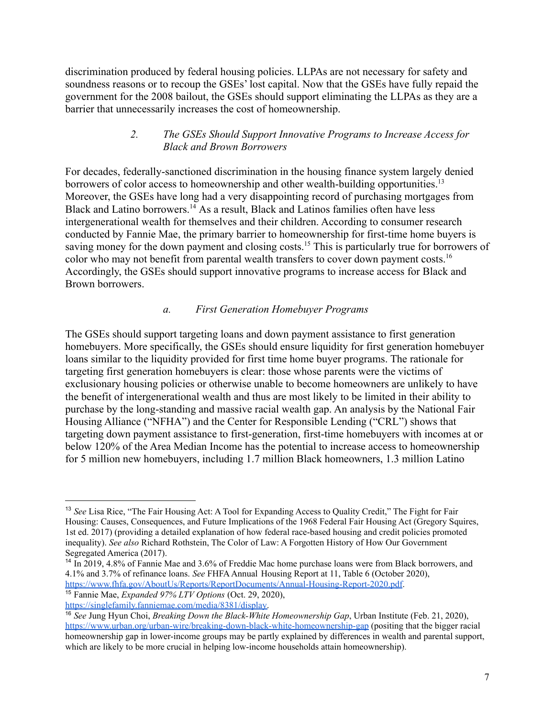discrimination produced by federal housing policies. LLPAs are not necessary for safety and soundness reasons or to recoup the GSEs' lost capital. Now that the GSEs have fully repaid the government for the 2008 bailout, the GSEs should support eliminating the LLPAs as they are a barrier that unnecessarily increases the cost of homeownership.

#### *2. The GSEs Should Support Innovative Programs to Increase Access for Black and Brown Borrowers*

For decades, federally-sanctioned discrimination in the housing finance system largely denied borrowers of color access to homeownership and other wealth-building opportunities.<sup>13</sup> Moreover, the GSEs have long had a very disappointing record of purchasing mortgages from Black and Latino borrowers.<sup>14</sup> As a result, Black and Latinos families often have less intergenerational wealth for themselves and their children. According to consumer research conducted by Fannie Mae, the primary barrier to homeownership for first-time home buyers is saving money for the down payment and closing costs.<sup>15</sup> This is particularly true for borrowers of color who may not benefit from parental wealth transfers to cover down payment costs.<sup>16</sup> Accordingly, the GSEs should support innovative programs to increase access for Black and Brown borrowers.

### *a. First Generation Homebuyer Programs*

The GSEs should support targeting loans and down payment assistance to first generation homebuyers. More specifically, the GSEs should ensure liquidity for first generation homebuyer loans similar to the liquidity provided for first time home buyer programs. The rationale for targeting first generation homebuyers is clear: those whose parents were the victims of exclusionary housing policies or otherwise unable to become homeowners are unlikely to have the benefit of intergenerational wealth and thus are most likely to be limited in their ability to purchase by the long-standing and massive racial wealth gap. An analysis by the National Fair Housing Alliance ("NFHA") and the Center for Responsible Lending ("CRL") shows that targeting down payment assistance to first-generation, first-time homebuyers with incomes at or below 120% of the Area Median Income has the potential to increase access to homeownership for 5 million new homebuyers, including 1.7 million Black homeowners, 1.3 million Latino

<sup>15</sup> Fannie Mae, *Expanded 97% LTV Options* (Oct. 29, 2020),

<sup>13</sup> *See* Lisa Rice, "The Fair Housing Act: A Tool for Expanding Access to Quality Credit," The Fight for Fair Housing: Causes, Consequences, and Future Implications of the 1968 Federal Fair Housing Act (Gregory Squires, 1st ed. 2017) (providing a detailed explanation of how federal race-based housing and credit policies promoted inequality). *See also* Richard Rothstein, The Color of Law: A Forgotten History of How Our Government Segregated America (2017).

<sup>&</sup>lt;sup>14</sup> In 2019, 4.8% of Fannie Mae and 3.6% of Freddie Mac home purchase loans were from Black borrowers, and 4.1% and 3.7% of refinance loans. *See* FHFAAnnual Housing Report at 11, Table 6 (October 2020), <https://www.fhfa.gov/AboutUs/Reports/ReportDocuments/Annual-Housing-Report-2020.pdf>.

[https://singlefamily.fanniemae.com/media/8381/display.](https://singlefamily.fanniemae.com/media/8381/display)

<sup>16</sup> *See* Jung Hyun Choi, *Breaking Down the Black-White Homeownership Gap*, Urban Institute (Feb. 21, 2020), <https://www.urban.org/urban-wire/breaking-down-black-white-homeownership-gap> (positing that the bigger racial homeownership gap in lower-income groups may be partly explained by differences in wealth and parental support, which are likely to be more crucial in helping low-income households attain homeownership).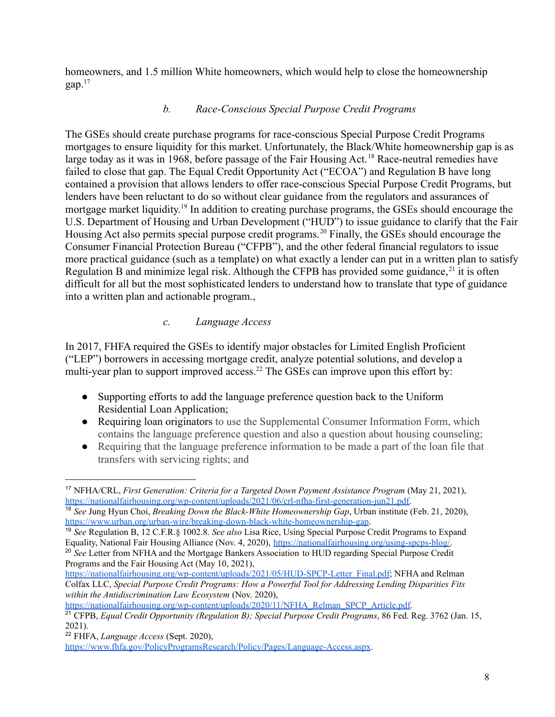homeowners, and 1.5 million White homeowners, which would help to close the homeownership gap. $17$ 

### *b. Race-Conscious Special Purpose Credit Programs*

The GSEs should create purchase programs for race-conscious Special Purpose Credit Programs mortgages to ensure liquidity for this market. Unfortunately, the Black/White homeownership gap is as large today as it was in 1968, before passage of the Fair Housing Act.<sup>18</sup> Race-neutral remedies have failed to close that gap. The Equal Credit Opportunity Act ("ECOA") and Regulation B have long contained a provision that allows lenders to offer race-conscious Special Purpose Credit Programs, but lenders have been reluctant to do so without clear guidance from the regulators and assurances of mortgage market liquidity.<sup>19</sup> In addition to creating purchase programs, the GSEs should encourage the U.S. Department of Housing and Urban Development ("HUD") to issue guidance to clarify that the Fair Housing Act also permits special purpose credit programs.<sup>20</sup> Finally, the GSEs should encourage the Consumer Financial Protection Bureau ("CFPB"), and the other federal financial regulators to issue more practical guidance (such as a template) on what exactly a lender can put in a written plan to satisfy Regulation B and minimize legal risk. Although the CFPB has provided some guidance,  $21$  it is often difficult for all but the most sophisticated lenders to understand how to translate that type of guidance into a written plan and actionable program.,

### *c. Language Access*

In 2017, FHFA required the GSEs to identify major obstacles for Limited English Proficient ("LEP") borrowers in accessing mortgage credit, analyze potential solutions, and develop a multi-year plan to support improved access.<sup>22</sup> The GSEs can improve upon this effort by:

- Supporting efforts to add the language preference question back to the Uniform Residential Loan Application;
- Requiring loan originators to use the Supplemental Consumer Information Form, which contains the language preference question and also a question about housing counseling;
- Requiring that the language preference information to be made a part of the loan file that transfers with servicing rights; and

[https://nationalfairhousing.org/wp-content/uploads/2020/11/NFHA\\_Relman\\_SPCP\\_Article.pdf.](https://nationalfairhousing.org/wp-content/uploads/2020/11/NFHA_Relman_SPCP_Article.pdf)

<https://www.fhfa.gov/PolicyProgramsResearch/Policy/Pages/Language-Access.aspx>.

<sup>17</sup> NFHA/CRL, *First Generation: Criteria for a Targeted Down Payment Assistance Program* (May 21, 2021), [https://nationalfairhousing.org/wp-content/uploads/2021/06/crl-nfha-first-generation-jun21.pdf.](https://nationalfairhousing.org/wp-content/uploads/2021/06/crl-nfha-first-generation-jun21.pdf)

<sup>18</sup> *See* Jung Hyun Choi, *Breaking Down the Black-White Homeownership Gap*, Urban institute (Feb. 21, 2020), <https://www.urban.org/urban-wire/breaking-down-black-white-homeownership-gap>.

<sup>19</sup> *See* Regulation B, 12 C.F.R.§ 1002.8. *See also* Lisa Rice, Using Special Purpose Credit Programs to Expand Equality, National Fair Housing Alliance (Nov. 4, 2020), [https://nationalfairhousing.org/using-spcps-blog/.](https://nationalfairhousing.org/using-spcps-blog/)

<sup>&</sup>lt;sup>20</sup> See Letter from NFHA and the Mortgage Bankers Association to HUD regarding Special Purpose Credit Programs and the Fair Housing Act (May 10, 2021),

[https://nationalfairhousing.org/wp-content/uploads/2021/05/HUD-SPCP-Letter\\_Final.pdf;](https://nationalfairhousing.org/wp-content/uploads/2021/05/HUD-SPCP-Letter_Final.pdf) NFHA and Relman Colfax LLC, *Special Purpose Credit Programs: How a Powerful Tool for Addressing Lending Disparities Fits within the Antidiscrimination Law Ecosystem* (Nov. 2020),

<sup>21</sup> CFPB, *Equal Credit Opportunity (Regulation B); Special Purpose Credit Programs*, 86 Fed. Reg. 3762 (Jan. 15, 2021).

<sup>22</sup> FHFA, *Language Access* (Sept. 2020),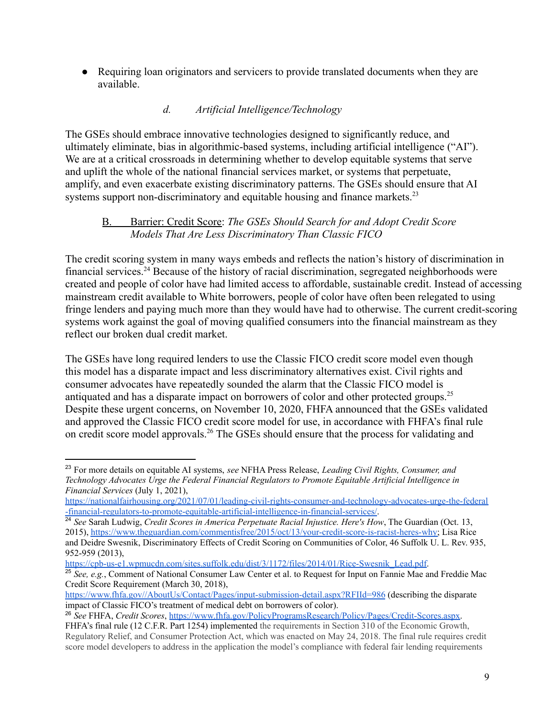• Requiring loan originators and servicers to provide translated documents when they are available.

## *d. Artificial Intelligence/Technology*

The GSEs should embrace innovative technologies designed to significantly reduce, and ultimately eliminate, bias in algorithmic-based systems, including artificial intelligence ("AI"). We are at a critical crossroads in determining whether to develop equitable systems that serve and uplift the whole of the national financial services market, or systems that perpetuate, amplify, and even exacerbate existing discriminatory patterns. The GSEs should ensure that AI systems support non-discriminatory and equitable housing and finance markets.<sup>23</sup>

#### B. Barrier: Credit Score: *The GSEs Should Search for and Adopt Credit Score Models That Are Less Discriminatory Than Classic FICO*

The credit scoring system in many ways embeds and reflects the nation's history of discrimination in financial services.<sup>24</sup> Because of the history of racial discrimination, segregated neighborhoods were created and people of color have had limited access to affordable, sustainable credit. Instead of accessing mainstream credit available to White borrowers, people of color have often been relegated to using fringe lenders and paying much more than they would have had to otherwise. The current credit-scoring systems work against the goal of moving qualified consumers into the financial mainstream as they reflect our broken dual credit market.

The GSEs have long required lenders to use the Classic FICO credit score model even though this model has a disparate impact and less discriminatory alternatives exist. Civil rights and consumer advocates have repeatedly sounded the alarm that the Classic FICO model is antiquated and has a disparate impact on borrowers of color and other protected groups.<sup>25</sup> Despite these urgent concerns, on November 10, 2020, FHFA announced that the GSEs validated and approved the Classic FICO credit score model for use, in accordance with FHFA's final rule on credit score model approvals.<sup>26</sup> The GSEs should ensure that the process for validating and

[https://cpb-us-e1.wpmucdn.com/sites.suffolk.edu/dist/3/1172/files/2014/01/Rice-Swesnik\\_Lead.pdf.](https://cpb-us-e1.wpmucdn.com/sites.suffolk.edu/dist/3/1172/files/2014/01/Rice-Swesnik_Lead.pdf)

<sup>23</sup> For more details on equitable AI systems, *see* NFHA Press Release, *Leading Civil Rights, Consumer, and Technology Advocates Urge the Federal Financial Regulators to Promote Equitable Artificial Intelligence in Financial Services* (July 1, 2021),

[https://nationalfairhousing.org/2021/07/01/leading-civil-rights-consumer-and-technology-advocates-urge-the-federal](https://nationalfairhousing.org/2021/07/01/leading-civil-rights-consumer-and-technology-advocates-urge-the-federal-financial-regulators-to-promote-equitable-artificial-intelligence-in-financial-services/) [-financial-regulators-to-promote-equitable-artificial-intelligence-in-financial-services/](https://nationalfairhousing.org/2021/07/01/leading-civil-rights-consumer-and-technology-advocates-urge-the-federal-financial-regulators-to-promote-equitable-artificial-intelligence-in-financial-services/).

<sup>24</sup> *See* Sarah Ludwig, *Credit Scores in America Perpetuate Racial Injustice. Here's How*, The Guardian (Oct. 13, 2015), [https://www.theguardian.com/commentisfree/2015/oct/13/your-credit-score-is-racist-heres-why;](https://www.theguardian.com/commentisfree/2015/oct/13/your-credit-score-is-racist-heres-why) Lisa Rice and Deidre Swesnik, Discriminatory Effects of Credit Scoring on Communities of Color, 46 Suffolk U. L. Rev. 935, 952-959 (2013),

<sup>25</sup> *See, e.g.*, Comment of National Consumer Law Center et al. to Request for Input on Fannie Mae and Freddie Mac Credit Score Requirement (March 30, 2018),

<https://www.fhfa.gov//AboutUs/Contact/Pages/input-submission-detail.aspx?RFIId=986> (describing the disparate impact of Classic FICO's treatment of medical debt on borrowers of color).

<sup>26</sup> *See* FHFA, *Credit Scores*, [https://www.fhfa.gov/PolicyProgramsResearch/Policy/Pages/Credit-Scores.aspx.](https://www.fhfa.gov/PolicyProgramsResearch/Policy/Pages/Credit-Scores.aspx)

FHFA's final rule (12 C.F.R. Part 1254) implemented the requirements in Section 310 of the Economic Growth, Regulatory Relief, and Consumer Protection Act, which was enacted on May 24, 2018. The final rule requires credit score model developers to address in the application the model's compliance with federal fair lending requirements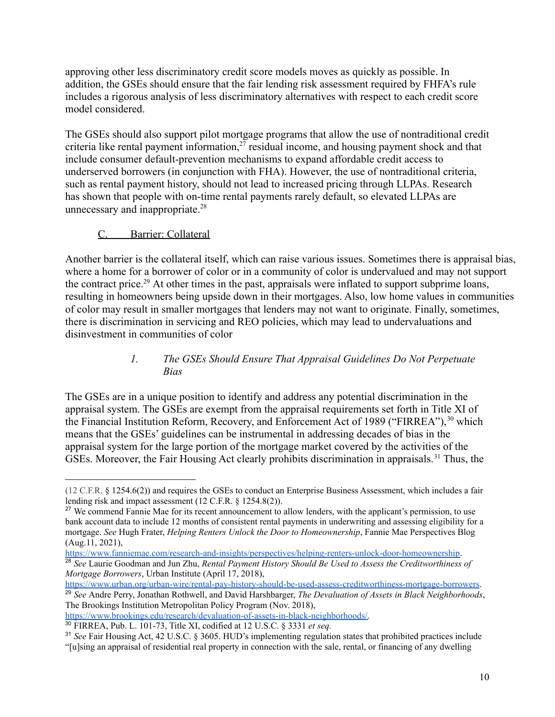approving other less discriminatory credit score models moves as quickly as possible. In addition, the GSEs should ensure that the fair lending risk assessment required by FHFA's rule includes a rigorous analysis of less discriminatory alternatives with respect to each credit score model considered.

The GSEs should also support pilot mortgage programs that allow the use of nontraditional credit criteria like rental payment information, $27$  residual income, and housing payment shock and that include consumer default-prevention mechanisms to expand affordable credit access to underserved borrowers (in conjunction with FHA). However, the use of nontraditional criteria, such as rental payment history, should not lead to increased pricing through LLPAs. Research has shown that people with on-time rental payments rarely default, so elevated LLPAs are unnecessary and inappropriate.<sup>28</sup>

### C. Barrier: Collateral

Another barrier is the collateral itself, which can raise various issues. Sometimes there is appraisal bias, where a home for a borrower of color or in a community of color is undervalued and may not support the contract price.<sup>29</sup> At other times in the past, appraisals were inflated to support subprime loans, resulting in homeowners being upside down in their mortgages. Also, low home values in communities of color may result in smaller mortgages that lenders may not want to originate. Finally, sometimes, there is discrimination in servicing and REO policies, which may lead to undervaluations and disinvestment in communities of color

### *1. The GSEs Should Ensure That Appraisal Guidelines Do Not Perpetuate Bias*

The GSEs are in a unique position to identify and address any potential discrimination in the appraisal system. The GSEs are exempt from the appraisal requirements set forth in Title XI of the Financial Institution Reform, Recovery, and Enforcement Act of 1989 ("FIRREA"),<sup>30</sup> which means that the GSEs' guidelines can be instrumental in addressing decades of bias in the appraisal system for the large portion of the mortgage market covered by the activities of the GSEs. Moreover, the Fair Housing Act clearly prohibits discrimination in appraisals. <sup>31</sup> Thus, the

[https://www.brookings.edu/research/devaluation-of-assets-in-black-neighborhoods/.](https://www.brookings.edu/research/devaluation-of-assets-in-black-neighborhoods/)

<sup>(12</sup> C.F.R. § 1254.6(2)) and requires the GSEs to conduct an Enterprise Business Assessment, which includes a fair lending risk and impact assessment (12 C.F.R. § 1254.8(2)).

<sup>&</sup>lt;sup>27</sup> We commend Fannie Mae for its recent announcement to allow lenders, with the applicant's permission, to use bank account data to include 12 months of consistent rental payments in underwriting and assessing eligibility for a mortgage. *See* Hugh Frater, *Helping Renters Unlock the Door to Homeownership*, Fannie Mae Perspectives Blog (Aug.11, 2021),

<sup>28</sup> *See* Laurie Goodman and Jun Zhu, *Rental Payment History Should Be Used to Assess the Creditworthiness of Mortgage Borrowers*, Urban Institute (April 17, 2018), <https://www.fanniemae.com/research-and-insights/perspectives/helping-renters-unlock-door-homeownership>.

<sup>29</sup> *See* Andre Perry, Jonathan Rothwell, and David Harshbarger, *The Devaluation of Assets in Black Neighborhoods*, The Brookings Institution Metropolitan Policy Program (Nov. 2018), <https://www.urban.org/urban-wire/rental-pay-history-should-be-used-assess-creditworthiness-mortgage-borrowers>.

<sup>30</sup> FIRREA, Pub. L. 101-73, Title XI, codified at 12 U.S.C. § 3331 *et seq.*

<sup>31</sup> *See* Fair Housing Act, 42 U.S.C. § 3605. HUD's implementing regulation states that prohibited practices include "[u]sing an appraisal of residential real property in connection with the sale, rental, or financing of any dwelling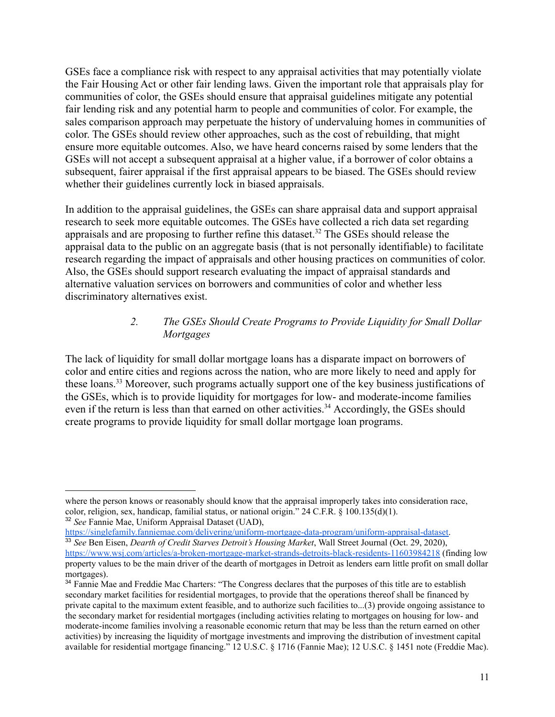GSEs face a compliance risk with respect to any appraisal activities that may potentially violate the Fair Housing Act or other fair lending laws. Given the important role that appraisals play for communities of color, the GSEs should ensure that appraisal guidelines mitigate any potential fair lending risk and any potential harm to people and communities of color. For example, the sales comparison approach may perpetuate the history of undervaluing homes in communities of color. The GSEs should review other approaches, such as the cost of rebuilding, that might ensure more equitable outcomes. Also, we have heard concerns raised by some lenders that the GSEs will not accept a subsequent appraisal at a higher value, if a borrower of color obtains a subsequent, fairer appraisal if the first appraisal appears to be biased. The GSEs should review whether their guidelines currently lock in biased appraisals.

In addition to the appraisal guidelines, the GSEs can share appraisal data and support appraisal research to seek more equitable outcomes. The GSEs have collected a rich data set regarding appraisals and are proposing to further refine this dataset.<sup>32</sup> The GSEs should release the appraisal data to the public on an aggregate basis (that is not personally identifiable) to facilitate research regarding the impact of appraisals and other housing practices on communities of color. Also, the GSEs should support research evaluating the impact of appraisal standards and alternative valuation services on borrowers and communities of color and whether less discriminatory alternatives exist.

#### *2. The GSEs Should Create Programs to Provide Liquidity for Small Dollar Mortgages*

The lack of liquidity for small dollar mortgage loans has a disparate impact on borrowers of color and entire cities and regions across the nation, who are more likely to need and apply for these loans.<sup>33</sup> Moreover, such programs actually support one of the key business justifications of the GSEs, which is to provide liquidity for mortgages for low- and moderate-income families even if the return is less than that earned on other activities.<sup>34</sup> Accordingly, the GSEs should create programs to provide liquidity for small dollar mortgage loan programs.

<sup>32</sup> *See* Fannie Mae, Uniform Appraisal Dataset (UAD), where the person knows or reasonably should know that the appraisal improperly takes into consideration race, color, religion, sex, handicap, familial status, or national origin." 24 C.F.R. § 100.135(d)(1).

[https://singlefamily.fanniemae.com/delivering/uniform-mortgage-data-program/uniform-appraisal-dataset.](https://singlefamily.fanniemae.com/delivering/uniform-mortgage-data-program/uniform-appraisal-dataset)

<sup>33</sup> *See* Ben Eisen, *Dearth of Credit Starves Detroit's Housing Market*, Wall Street Journal (Oct. 29, 2020), <https://www.wsj.com/articles/a-broken-mortgage-market-strands-detroits-black-residents-11603984218> (finding low property values to be the main driver of the dearth of mortgages in Detroit as lenders earn little profit on small dollar mortgages).

<sup>&</sup>lt;sup>34</sup> Fannie Mae and Freddie Mac Charters: "The Congress declares that the purposes of this title are to establish secondary market facilities for residential mortgages, to provide that the operations thereof shall be financed by private capital to the maximum extent feasible, and to authorize such facilities to...(3) provide ongoing assistance to the secondary market for residential mortgages (including activities relating to mortgages on housing for low- and moderate-income families involving a reasonable economic return that may be less than the return earned on other activities) by increasing the liquidity of mortgage investments and improving the distribution of investment capital available for residential mortgage financing." 12 U.S.C. § 1716 (Fannie Mae); 12 U.S.C. § 1451 note (Freddie Mac).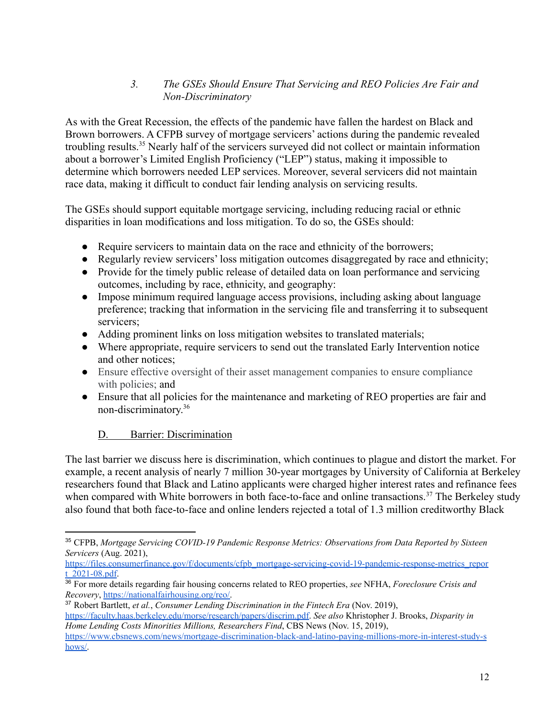## *3. The GSEs Should Ensure That Servicing and REO Policies Are Fair and Non-Discriminatory*

As with the Great Recession, the effects of the pandemic have fallen the hardest on Black and Brown borrowers. A CFPB survey of mortgage servicers' actions during the pandemic revealed troubling results.<sup>35</sup> Nearly half of the servicers surveyed did not collect or maintain information about a borrower's Limited English Proficiency ("LEP") status, making it impossible to determine which borrowers needed LEP services. Moreover, several servicers did not maintain race data, making it difficult to conduct fair lending analysis on servicing results.

The GSEs should support equitable mortgage servicing, including reducing racial or ethnic disparities in loan modifications and loss mitigation. To do so, the GSEs should:

- Require servicers to maintain data on the race and ethnicity of the borrowers;
- Regularly review servicers' loss mitigation outcomes disaggregated by race and ethnicity;
- Provide for the timely public release of detailed data on loan performance and servicing outcomes, including by race, ethnicity, and geography:
- Impose minimum required language access provisions, including asking about language preference; tracking that information in the servicing file and transferring it to subsequent servicers;
- Adding prominent links on loss mitigation websites to translated materials;
- Where appropriate, require servicers to send out the translated Early Intervention notice and other notices;
- Ensure effective oversight of their asset management companies to ensure compliance with policies; and
- Ensure that all policies for the maintenance and marketing of REO properties are fair and non-discriminatory. 36

# D. Barrier: Discrimination

The last barrier we discuss here is discrimination, which continues to plague and distort the market. For example, a recent analysis of nearly 7 million 30-year mortgages by University of California at Berkeley researchers found that Black and Latino applicants were charged higher interest rates and refinance fees when compared with White borrowers in both face-to-face and online transactions.<sup>37</sup> The Berkeley study also found that both face-to-face and online lenders rejected a total of 1.3 million creditworthy Black

<sup>35</sup> CFPB, *Mortgage Servicing COVID-19 Pandemic Response Metrics: Observations from Data Reported by Sixteen Servicers* (Aug. 2021),

[https://files.consumerfinance.gov/f/documents/cfpb\\_mortgage-servicing-covid-19-pandemic-response-metrics\\_repor](https://files.consumerfinance.gov/f/documents/cfpb_mortgage-servicing-covid-19-pandemic-response-metrics_report_2021-08.pdf) [t\\_2021-08.pdf.](https://files.consumerfinance.gov/f/documents/cfpb_mortgage-servicing-covid-19-pandemic-response-metrics_report_2021-08.pdf)

<sup>36</sup> For more details regarding fair housing concerns related to REO properties, *see* NFHA, *Foreclosure Crisis and Recovery*, [https://nationalfairhousing.org/reo/.](https://nationalfairhousing.org/reo/)

<sup>37</sup> Robert Bartlett, *et al.*, *Consumer Lending Discrimination in the Fintech Era* (Nov. 2019),

<https://faculty.haas.berkeley.edu/morse/research/papers/discrim.pdf>. *See also* Khristopher J. Brooks, *Disparity in Home Lending Costs Minorities Millions, Researchers Find*, CBS News (Nov. 15, 2019),

[https://www.cbsnews.com/news/mortgage-discrimination-black-and-latino-paying-millions-more-in-interest-study-s](https://www.cbsnews.com/news/mortgage-discrimination-black-and-latino-paying-millions-more-in-interest-study-shows/) [hows/.](https://www.cbsnews.com/news/mortgage-discrimination-black-and-latino-paying-millions-more-in-interest-study-shows/)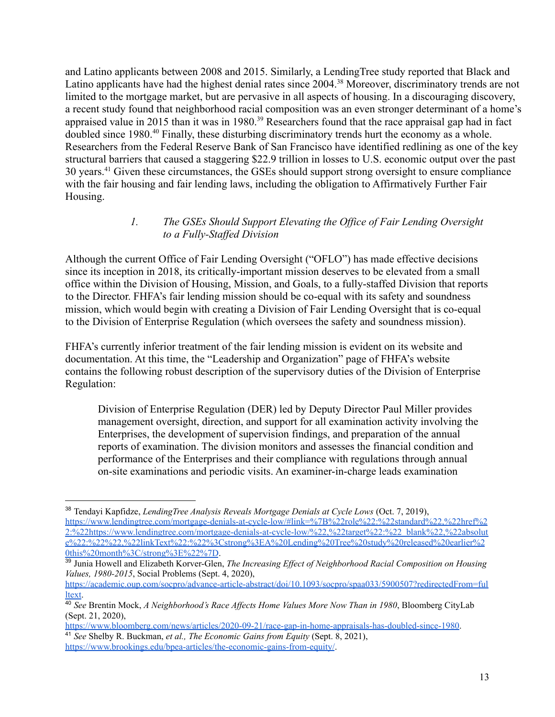and Latino applicants between 2008 and 2015. Similarly, a LendingTree study reported that Black and Latino applicants have had the highest denial rates since 2004.<sup>38</sup> Moreover, discriminatory trends are not limited to the mortgage market, but are pervasive in all aspects of housing. In a discouraging discovery, a recent study found that neighborhood racial composition was an even stronger determinant of a home's appraised value in 2015 than it was in 1980.<sup>39</sup> Researchers found that the race appraisal gap had in fact doubled since 1980.<sup>40</sup> Finally, these disturbing discriminatory trends hurt the economy as a whole. Researchers from the Federal Reserve Bank of San Francisco have identified redlining as one of the key structural barriers that caused a staggering \$22.9 trillion in losses to U.S. economic output over the past 30 years.<sup>41</sup> Given these circumstances, the GSEs should support strong oversight to ensure compliance with the fair housing and fair lending laws, including the obligation to Affirmatively Further Fair Housing.

#### *1. The GSEs Should Support Elevating the Office of Fair Lending Oversight to a Fully-Staffed Division*

Although the current Office of Fair Lending Oversight ("OFLO") has made effective decisions since its inception in 2018, its critically-important mission deserves to be elevated from a small office within the Division of Housing, Mission, and Goals, to a fully-staffed Division that reports to the Director. FHFA's fair lending mission should be co-equal with its safety and soundness mission, which would begin with creating a Division of Fair Lending Oversight that is co-equal to the Division of Enterprise Regulation (which oversees the safety and soundness mission).

FHFA's currently inferior treatment of the fair lending mission is evident on its website and documentation. At this time, the "Leadership and Organization" page of FHFA's website contains the following robust description of the supervisory duties of the Division of Enterprise Regulation:

Division of Enterprise Regulation (DER) led by Deputy Director Paul Miller provides management oversight, direction, and support for all examination activity involving the Enterprises, the development of supervision findings, and preparation of the annual reports of examination. The division monitors and assesses the financial condition and performance of the Enterprises and their compliance with regulations through annual on-site examinations and periodic visits. An examiner-in-charge leads examination

<sup>38</sup> Tendayi Kapfidze, *LendingTree Analysis Reveals Mortgage Denials at Cycle Lows* (Oct. 7, 2019), [https://www.lendingtree.com/mortgage-denials-at-cycle-low/#link=%7B%22role%22:%22standard%22,%22href%2](https://www.lendingtree.com/mortgage-denials-at-cycle-low/#link=%7B%22role%22:%22standard%22,%22href%22:%22https://www.lendingtree.com/mortgage-denials-at-cycle-low/%22,%22target%22:%22_blank%22,%22absolute%22:%22%22,%22linkText%22:%22%3Cstrong%3EA%20Lending%20Tree%20study%20released%20earlier%20this%20month%3C/strong%3E%22%7D) [2:%22https://www.lendingtree.com/mortgage-denials-at-cycle-low/%22,%22target%22:%22\\_blank%22,%22absolut](https://www.lendingtree.com/mortgage-denials-at-cycle-low/#link=%7B%22role%22:%22standard%22,%22href%22:%22https://www.lendingtree.com/mortgage-denials-at-cycle-low/%22,%22target%22:%22_blank%22,%22absolute%22:%22%22,%22linkText%22:%22%3Cstrong%3EA%20Lending%20Tree%20study%20released%20earlier%20this%20month%3C/strong%3E%22%7D) [e%22:%22%22,%22linkText%22:%22%3Cstrong%3EA%20Lending%20Tree%20study%20released%20earlier%2](https://www.lendingtree.com/mortgage-denials-at-cycle-low/#link=%7B%22role%22:%22standard%22,%22href%22:%22https://www.lendingtree.com/mortgage-denials-at-cycle-low/%22,%22target%22:%22_blank%22,%22absolute%22:%22%22,%22linkText%22:%22%3Cstrong%3EA%20Lending%20Tree%20study%20released%20earlier%20this%20month%3C/strong%3E%22%7D) [0this%20month%3C/strong%3E%22%7D](https://www.lendingtree.com/mortgage-denials-at-cycle-low/#link=%7B%22role%22:%22standard%22,%22href%22:%22https://www.lendingtree.com/mortgage-denials-at-cycle-low/%22,%22target%22:%22_blank%22,%22absolute%22:%22%22,%22linkText%22:%22%3Cstrong%3EA%20Lending%20Tree%20study%20released%20earlier%20this%20month%3C/strong%3E%22%7D).

<sup>39</sup> Junia Howell and Elizabeth Korver-Glen, *The Increasing Ef ect of Neighborhood Racial Composition on Housing Values, 1980-2015*, Social Problems (Sept. 4, 2020),

[https://academic.oup.com/socpro/advance-article-abstract/doi/10.1093/socpro/spaa033/5900507?redirectedFrom=ful](https://academic.oup.com/socpro/advance-article-abstract/doi/10.1093/socpro/spaa033/5900507?redirectedFrom=fulltext) [ltext.](https://academic.oup.com/socpro/advance-article-abstract/doi/10.1093/socpro/spaa033/5900507?redirectedFrom=fulltext)

<sup>40</sup> *See* Brentin Mock, *A Neighborhood's Race Af ects Home Values More Now Than in 1980*, Bloomberg CityLab (Sept. 21, 2020),

<sup>41</sup> *See* Shelby R. Buckman, *et al., The Economic Gains from Equity* (Sept. 8, 2021), [https://www.bloomberg.com/news/articles/2020-09-21/race-gap-in-home-appraisals-has-doubled-since-1980.](https://www.bloomberg.com/news/articles/2020-09-21/race-gap-in-home-appraisals-has-doubled-since-1980)

<https://www.brookings.edu/bpea-articles/the-economic-gains-from-equity/>.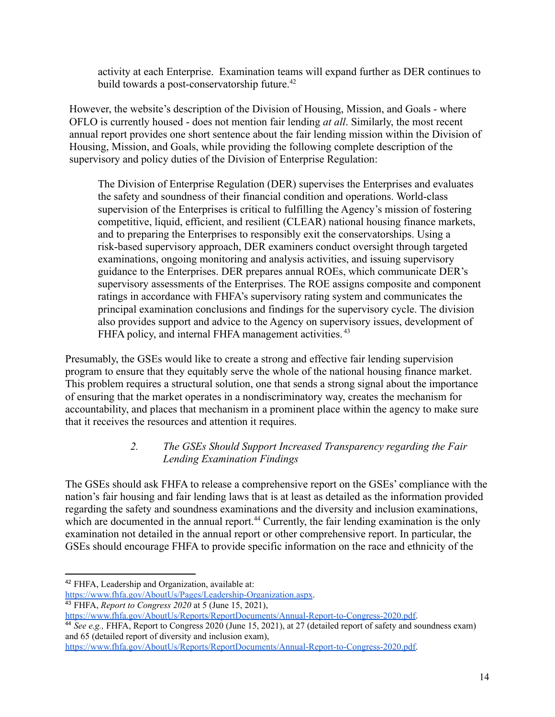activity at each Enterprise. Examination teams will expand further as DER continues to build towards a post-conservatorship future.<sup>42</sup>

However, the website's description of the Division of Housing, Mission, and Goals - where OFLO is currently housed - does not mention fair lending *at all*. Similarly, the most recent annual report provides one short sentence about the fair lending mission within the Division of Housing, Mission, and Goals, while providing the following complete description of the supervisory and policy duties of the Division of Enterprise Regulation:

The Division of Enterprise Regulation (DER) supervises the Enterprises and evaluates the safety and soundness of their financial condition and operations. World-class supervision of the Enterprises is critical to fulfilling the Agency's mission of fostering competitive, liquid, efficient, and resilient (CLEAR) national housing finance markets, and to preparing the Enterprises to responsibly exit the conservatorships. Using a risk-based supervisory approach, DER examiners conduct oversight through targeted examinations, ongoing monitoring and analysis activities, and issuing supervisory guidance to the Enterprises. DER prepares annual ROEs, which communicate DER's supervisory assessments of the Enterprises. The ROE assigns composite and component ratings in accordance with FHFA's supervisory rating system and communicates the principal examination conclusions and findings for the supervisory cycle. The division also provides support and advice to the Agency on supervisory issues, development of FHFA policy, and internal FHFA management activities.<sup>43</sup>

Presumably, the GSEs would like to create a strong and effective fair lending supervision program to ensure that they equitably serve the whole of the national housing finance market. This problem requires a structural solution, one that sends a strong signal about the importance of ensuring that the market operates in a nondiscriminatory way, creates the mechanism for accountability, and places that mechanism in a prominent place within the agency to make sure that it receives the resources and attention it requires.

### *2. The GSEs Should Support Increased Transparency regarding the Fair Lending Examination Findings*

The GSEs should ask FHFA to release a comprehensive report on the GSEs' compliance with the nation's fair housing and fair lending laws that is at least as detailed as the information provided regarding the safety and soundness examinations and the diversity and inclusion examinations, which are documented in the annual report.<sup>44</sup> Currently, the fair lending examination is the only examination not detailed in the annual report or other comprehensive report. In particular, the GSEs should encourage FHFA to provide specific information on the race and ethnicity of the

<sup>43</sup> FHFA, *Report to Congress 2020* at 5 (June 15, 2021),

<sup>44</sup> *See e.g.,* FHFA, Report to Congress 2020 (June 15, 2021), at 27 (detailed report of safety and soundness exam) and 65 (detailed report of diversity and inclusion exam),

<sup>42</sup> FHFA, Leadership and Organization, available at:

<https://www.fhfa.gov/AboutUs/Pages/Leadership-Organization.aspx>.

[https://www.fhfa.gov/AboutUs/Reports/ReportDocuments/Annual-Report-to-Congress-2020.pdf.](https://www.fhfa.gov/AboutUs/Reports/ReportDocuments/Annual-Report-to-Congress-2020.pdf)

[https://www.fhfa.gov/AboutUs/Reports/ReportDocuments/Annual-Report-to-Congress-2020.pdf.](https://www.fhfa.gov/AboutUs/Reports/ReportDocuments/Annual-Report-to-Congress-2020.pdf)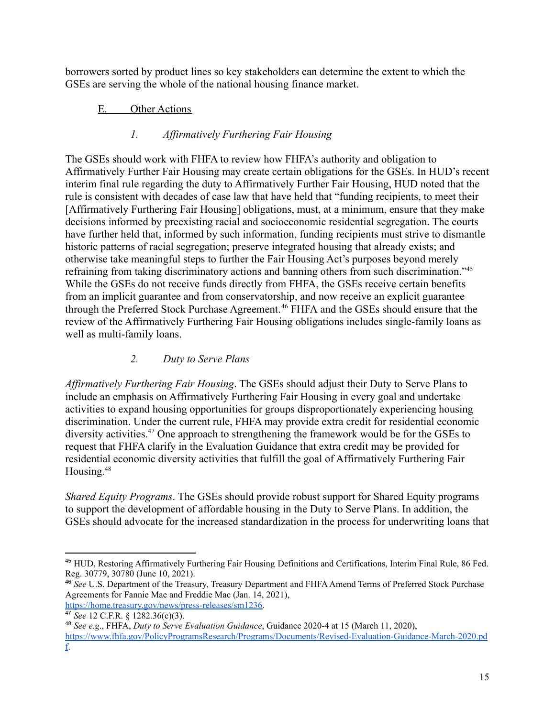borrowers sorted by product lines so key stakeholders can determine the extent to which the GSEs are serving the whole of the national housing finance market.

### E. Other Actions

## *1. Affirmatively Furthering Fair Housing*

The GSEs should work with FHFA to review how FHFA's authority and obligation to Affirmatively Further Fair Housing may create certain obligations for the GSEs. In HUD's recent interim final rule regarding the duty to Affirmatively Further Fair Housing, HUD noted that the rule is consistent with decades of case law that have held that "funding recipients, to meet their [Affirmatively Furthering Fair Housing] obligations, must, at a minimum, ensure that they make decisions informed by preexisting racial and socioeconomic residential segregation. The courts have further held that, informed by such information, funding recipients must strive to dismantle historic patterns of racial segregation; preserve integrated housing that already exists; and otherwise take meaningful steps to further the Fair Housing Act's purposes beyond merely refraining from taking discriminatory actions and banning others from such discrimination."<sup>45</sup> While the GSEs do not receive funds directly from FHFA, the GSEs receive certain benefits from an implicit guarantee and from conservatorship, and now receive an explicit guarantee through the Preferred Stock Purchase Agreement.<sup>46</sup> FHFA and the GSEs should ensure that the review of the Affirmatively Furthering Fair Housing obligations includes single-family loans as well as multi-family loans.

## *2. Duty to Serve Plans*

*Affirmatively Furthering Fair Housing*. The GSEs should adjust their Duty to Serve Plans to include an emphasis on Affirmatively Furthering Fair Housing in every goal and undertake activities to expand housing opportunities for groups disproportionately experiencing housing discrimination. Under the current rule, FHFA may provide extra credit for residential economic diversity activities.<sup>47</sup> One approach to strengthening the framework would be for the GSEs to request that FHFA clarify in the Evaluation Guidance that extra credit may be provided for residential economic diversity activities that fulfill the goal of Affirmatively Furthering Fair Housing.<sup>48</sup>

*Shared Equity Programs*. The GSEs should provide robust support for Shared Equity programs to support the development of affordable housing in the Duty to Serve Plans. In addition, the GSEs should advocate for the increased standardization in the process for underwriting loans that

<sup>45</sup> HUD, Restoring Affirmatively Furthering Fair Housing Definitions and Certifications, Interim Final Rule, 86 Fed. Reg. 30779, 30780 (June 10, 2021).

<sup>46</sup> *See* U.S. Department of the Treasury, Treasury Department and FHFAAmend Terms of Preferred Stock Purchase Agreements for Fannie Mae and Freddie Mac (Jan. 14, 2021), [https://home.treasury.gov/news/press-releases/sm1236.](https://home.treasury.gov/news/press-releases/sm1236)

<sup>47</sup> *See* 12 C.F.R. § 1282.36(c)(3).

<sup>48</sup> *See e.g*., FHFA, *Duty to Serve Evaluation Guidance*, Guidance 2020-4 at 15 (March 11, 2020), [https://www.fhfa.gov/PolicyProgramsResearch/Programs/Documents/Revised-Evaluation-Guidance-March-2020.pd](https://www.fhfa.gov/PolicyProgramsResearch/Programs/Documents/Revised-Evaluation-Guidance-March-2020.pdf) [f](https://www.fhfa.gov/PolicyProgramsResearch/Programs/Documents/Revised-Evaluation-Guidance-March-2020.pdf).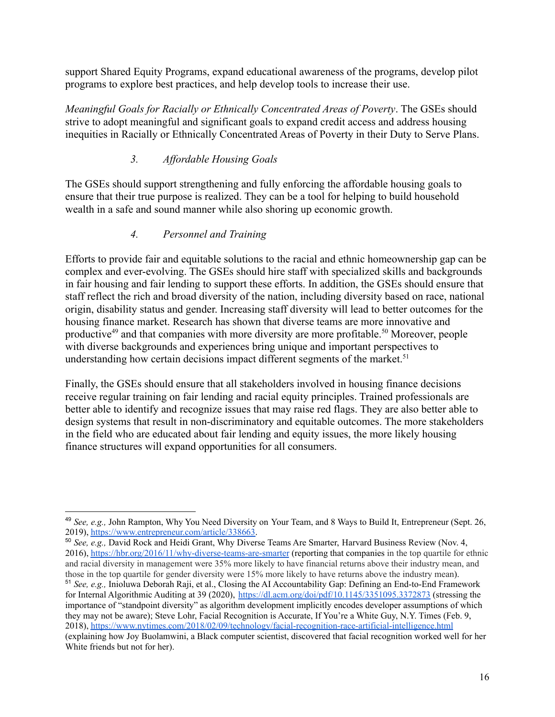support Shared Equity Programs, expand educational awareness of the programs, develop pilot programs to explore best practices, and help develop tools to increase their use.

*Meaningful Goals for Racially or Ethnically Concentrated Areas of Poverty*. The GSEs should strive to adopt meaningful and significant goals to expand credit access and address housing inequities in Racially or Ethnically Concentrated Areas of Poverty in their Duty to Serve Plans.

# *3. Affordable Housing Goals*

The GSEs should support strengthening and fully enforcing the affordable housing goals to ensure that their true purpose is realized. They can be a tool for helping to build household wealth in a safe and sound manner while also shoring up economic growth.

## *4. Personnel and Training*

Efforts to provide fair and equitable solutions to the racial and ethnic homeownership gap can be complex and ever-evolving. The GSEs should hire staff with specialized skills and backgrounds in fair housing and fair lending to support these efforts. In addition, the GSEs should ensure that staff reflect the rich and broad diversity of the nation, including diversity based on race, national origin, disability status and gender. Increasing staff diversity will lead to better outcomes for the housing finance market. Research has shown that diverse teams are more innovative and productive<sup>49</sup> and that companies with more diversity are more profitable.<sup>50</sup> Moreover, people with diverse backgrounds and experiences bring unique and important perspectives to understanding how certain decisions impact different segments of the market.<sup>51</sup>

Finally, the GSEs should ensure that all stakeholders involved in housing finance decisions receive regular training on fair lending and racial equity principles. Trained professionals are better able to identify and recognize issues that may raise red flags. They are also better able to design systems that result in non-discriminatory and equitable outcomes. The more stakeholders in the field who are educated about fair lending and equity issues, the more likely housing finance structures will expand opportunities for all consumers.

<sup>51</sup> *See, e.g.,* Inioluwa Deborah Raji, et al., Closing the AI Accountability Gap: Defining an End-to-End Framework for Internal Algorithmic Auditing at 39 (2020), <https://dl.acm.org/doi/pdf/10.1145/3351095.3372873> (stressing the importance of "standpoint diversity" as algorithm development implicitly encodes developer assumptions of which they may not be aware); Steve Lohr, Facial Recognition is Accurate, If You're a White Guy, N.Y. Times (Feb. 9, 2018), <https://www.nytimes.com/2018/02/09/technology/facial-recognition-race-artificial-intelligence.html> (explaining how Joy Buolamwini, a Black computer scientist, discovered that facial recognition worked well for her White friends but not for her). <sup>50</sup> *See, e.g.,* David Rock and Heidi Grant, Why Diverse Teams Are Smarter, Harvard Business Review (Nov. 4, 2016), <https://hbr.org/2016/11/why-diverse-teams-are-smarter> (reporting that companies in the top quartile for ethnic and racial diversity in management were 35% more likely to have financial returns above their industry mean, and those in the top quartile for gender diversity were 15% more likely to have returns above the industry mean).

<sup>49</sup> *See, e.g.,* John Rampton, Why You Need Diversity on Your Team, and 8 Ways to Build It, Entrepreneur (Sept. 26, 2019), [https://www.entrepreneur.com/article/338663.](https://www.entrepreneur.com/article/338663)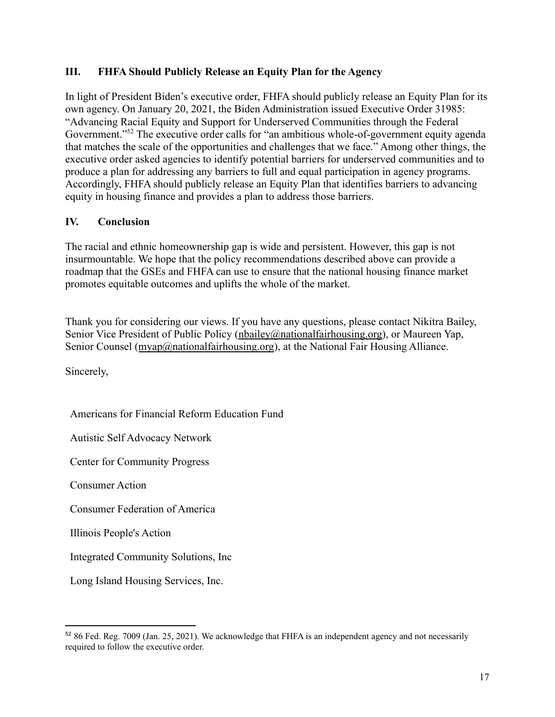#### **III. FHFA Should Publicly Release an Equity Plan for the Agency**

In light of President Biden's executive order, FHFA should publicly release an Equity Plan for its own agency. On January 20, 2021, the Biden Administration issued Executive Order 31985: "Advancing Racial Equity and Support for Underserved Communities through the Federal Government."<sup>52</sup> The executive order calls for "an ambitious whole-of-government equity agenda that matches the scale of the opportunities and challenges that we face." Among other things, the executive order asked agencies to identify potential barriers for underserved communities and to produce a plan for addressing any barriers to full and equal participation in agency programs. Accordingly, FHFA should publicly release an Equity Plan that identifies barriers to advancing equity in housing finance and provides a plan to address those barriers.

## **IV. Conclusion**

The racial and ethnic homeownership gap is wide and persistent. However, this gap is not insurmountable. We hope that the policy recommendations described above can provide a roadmap that the GSEs and FHFA can use to ensure that the national housing finance market promotes equitable outcomes and uplifts the whole of the market.

Thank you for considering our views. If you have any questions, please contact Nikitra Bailey, Senior Vice President of Public Policy ([nbailey@nationalfairhousing.org\)](mailto:nbailey@nationalfairhousing.org), or Maureen Yap, Senior Counsel ([myap@nationalfairhousing.org](mailto:myap@nationalfairhousing.org)), at the National Fair Housing Alliance.

Sincerely,

Americans for Financial Reform Education Fund

Autistic Self Advocacy Network

Center for Community Progress

Consumer Action

Consumer Federation of America

Illinois People's Action

Integrated Community Solutions, Inc

Long Island Housing Services, Inc.

<sup>52</sup> 86 Fed. Reg. 7009 (Jan. 25, 2021). We acknowledge that FHFA is an independent agency and not necessarily required to follow the executive order.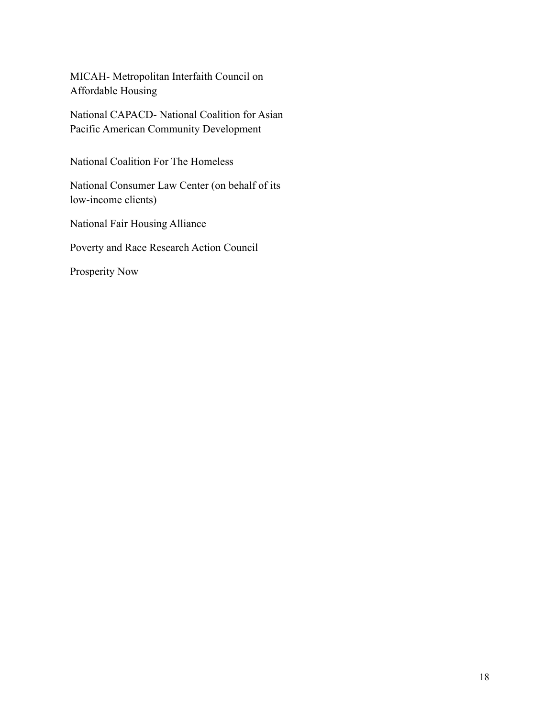MICAH- Metropolitan Interfaith Council on Affordable Housing

National CAPACD- National Coalition for Asian Pacific American Community Development

National Coalition For The Homeless

National Consumer Law Center (on behalf of its low-income clients)

National Fair Housing Alliance

Poverty and Race Research Action Council

Prosperity Now